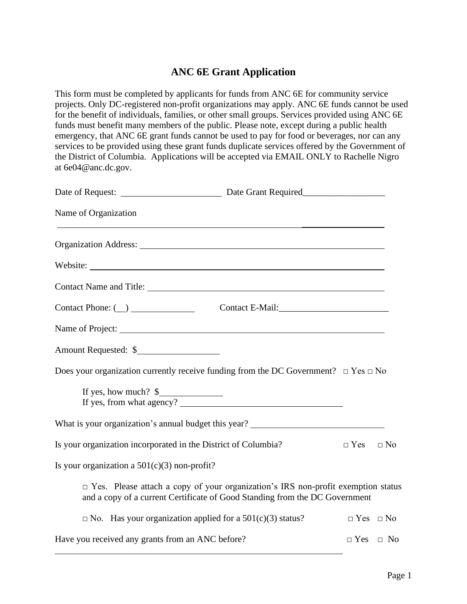## **ANC 6E Grant Application**

This form must be completed by applicants for funds from ANC 6E for community service projects. Only DC-registered non-profit organizations may apply. ANC 6E funds cannot be used for the benefit of individuals, families, or other small groups. Services provided using ANC 6E funds must benefit many members of the public. Please note, except during a public health emergency, that ANC 6E grant funds cannot be used to pay for food or beverages, nor can any services to be provided using these grant funds duplicate services offered by the Government of the District of Columbia. Applications will be accepted via EMAIL ONLY to Rachelle Nigro at [6e04@anc.dc.gov.](mailto:6e04@anc.dc.gov)

| Name of Organization<br><u> 1989 - Johann Stoff, deutscher Stoffen und der Stoffen und der Stoffen und der Stoffen und der Stoffen und der Stoffen und der Stoffen und der Stoffen und der Stoffen und der Stoffen und der Stoffen und der Stoffen und d</u> |  |                      |  |
|--------------------------------------------------------------------------------------------------------------------------------------------------------------------------------------------------------------------------------------------------------------|--|----------------------|--|
| Organization Address: No. 1996. The Contract of the Contract of the Contract of the Contract of the Contract of the Contract of the Contract of the Contract of the Contract of the Contract of the Contract of the Contract o                               |  |                      |  |
|                                                                                                                                                                                                                                                              |  |                      |  |
|                                                                                                                                                                                                                                                              |  |                      |  |
| Contact Phone: $(\_)$                                                                                                                                                                                                                                        |  |                      |  |
|                                                                                                                                                                                                                                                              |  |                      |  |
| Amount Requested: \$                                                                                                                                                                                                                                         |  |                      |  |
| Does your organization currently receive funding from the DC Government? $\Box$ Yes $\Box$ No                                                                                                                                                                |  |                      |  |
| If yes, how much? $\frac{1}{2}$<br>If yes, from what agency?                                                                                                                                                                                                 |  |                      |  |
| What is your organization's annual budget this year? ___________________________                                                                                                                                                                             |  |                      |  |
| Is your organization incorporated in the District of Columbia?                                                                                                                                                                                               |  | $\Box$ Yes $\Box$ No |  |
| Is your organization a $501(c)(3)$ non-profit?                                                                                                                                                                                                               |  |                      |  |
| $\Box$ Yes. Please attach a copy of your organization's IRS non-profit exemption status<br>and a copy of a current Certificate of Good Standing from the DC Government                                                                                       |  |                      |  |
| $\Box$ No. Has your organization applied for a 501(c)(3) status?                                                                                                                                                                                             |  | $\Box$ Yes $\Box$ No |  |
| Have you received any grants from an ANC before?                                                                                                                                                                                                             |  | $\Box$ Yes $\Box$ No |  |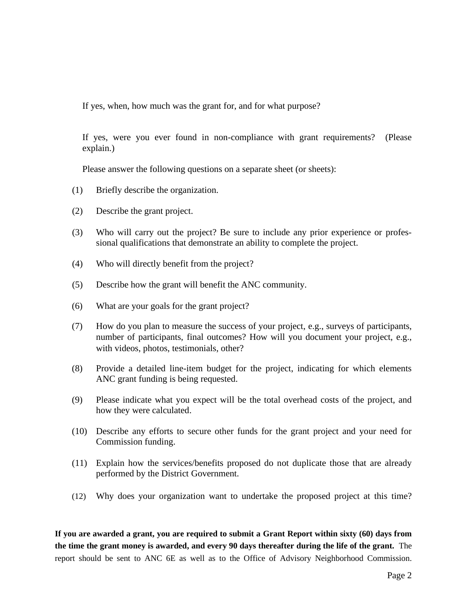If yes, when, how much was the grant for, and for what purpose?

If yes, were you ever found in non-compliance with grant requirements? (Please explain.)

Please answer the following questions on a separate sheet (or sheets):

- (1) Briefly describe the organization.
- (2) Describe the grant project.
- (3) Who will carry out the project? Be sure to include any prior experience or professional qualifications that demonstrate an ability to complete the project.
- (4) Who will directly benefit from the project?
- (5) Describe how the grant will benefit the ANC community.
- (6) What are your goals for the grant project?
- (7) How do you plan to measure the success of your project, e.g., surveys of participants, number of participants, final outcomes? How will you document your project, e.g., with videos, photos, testimonials, other?
- (8) Provide a detailed line-item budget for the project, indicating for which elements ANC grant funding is being requested.
- (9) Please indicate what you expect will be the total overhead costs of the project, and how they were calculated.
- (10) Describe any efforts to secure other funds for the grant project and your need for Commission funding.
- (11) Explain how the services/benefits proposed do not duplicate those that are already performed by the District Government.
- (12) Why does your organization want to undertake the proposed project at this time?

**If you are awarded a grant, you are required to submit a Grant Report within sixty (60) days from the time the grant money is awarded, and every 90 days thereafter during the life of the grant.** The report should be sent to ANC 6E as well as to the Office of Advisory Neighborhood Commission.